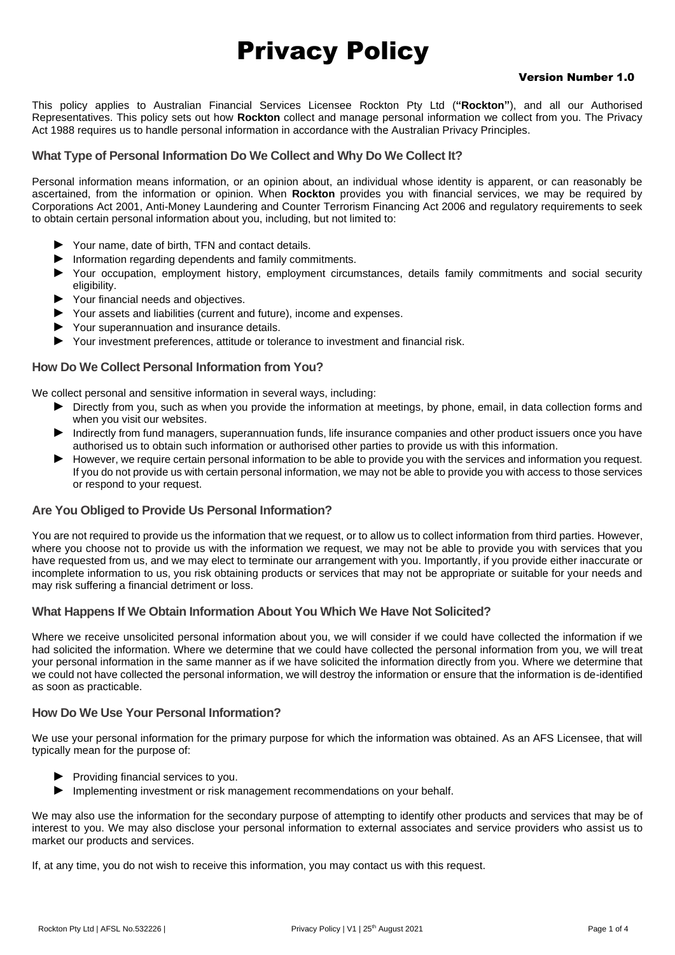# Privacy Policy

#### Version Number 1.0

This policy applies to Australian Financial Services Licensee Rockton Pty Ltd (**"Rockton"**), and all our Authorised Representatives. This policy sets out how **Rockton** collect and manage personal information we collect from you. The Privacy Act 1988 requires us to handle personal information in accordance with the Australian Privacy Principles.

## **What Type of Personal Information Do We Collect and Why Do We Collect It?**

Personal information means information, or an opinion about, an individual whose identity is apparent, or can reasonably be ascertained, from the information or opinion. When **Rockton** provides you with financial services, we may be required by Corporations Act 2001, Anti-Money Laundering and Counter Terrorism Financing Act 2006 and regulatory requirements to seek to obtain certain personal information about you, including, but not limited to:

- ► Your name, date of birth, TFN and contact details.
- ► Information regarding dependents and family commitments.
- ► Your occupation, employment history, employment circumstances, details family commitments and social security eligibility.
- ► Your financial needs and objectives.
- ► Your assets and liabilities (current and future), income and expenses.
- ► Your superannuation and insurance details.
- ► Your investment preferences, attitude or tolerance to investment and financial risk.

# **How Do We Collect Personal Information from You?**

We collect personal and sensitive information in several ways, including:

- ► Directly from you, such as when you provide the information at meetings, by phone, email, in data collection forms and when you visit our websites.
- ► Indirectly from fund managers, superannuation funds, life insurance companies and other product issuers once you have authorised us to obtain such information or authorised other parties to provide us with this information.
- ► However, we require certain personal information to be able to provide you with the services and information you request. If you do not provide us with certain personal information, we may not be able to provide you with access to those services or respond to your request.

# **Are You Obliged to Provide Us Personal Information?**

You are not required to provide us the information that we request, or to allow us to collect information from third parties. However, where you choose not to provide us with the information we request, we may not be able to provide you with services that you have requested from us, and we may elect to terminate our arrangement with you. Importantly, if you provide either inaccurate or incomplete information to us, you risk obtaining products or services that may not be appropriate or suitable for your needs and may risk suffering a financial detriment or loss.

# **What Happens If We Obtain Information About You Which We Have Not Solicited?**

Where we receive unsolicited personal information about you, we will consider if we could have collected the information if we had solicited the information. Where we determine that we could have collected the personal information from you, we will treat your personal information in the same manner as if we have solicited the information directly from you. Where we determine that we could not have collected the personal information, we will destroy the information or ensure that the information is de-identified as soon as practicable.

# **How Do We Use Your Personal Information?**

We use your personal information for the primary purpose for which the information was obtained. As an AFS Licensee, that will typically mean for the purpose of:

- ► Providing financial services to you.
- ► Implementing investment or risk management recommendations on your behalf.

We may also use the information for the secondary purpose of attempting to identify other products and services that may be of interest to you. We may also disclose your personal information to external associates and service providers who assist us to market our products and services.

If, at any time, you do not wish to receive this information, you may contact us with this request.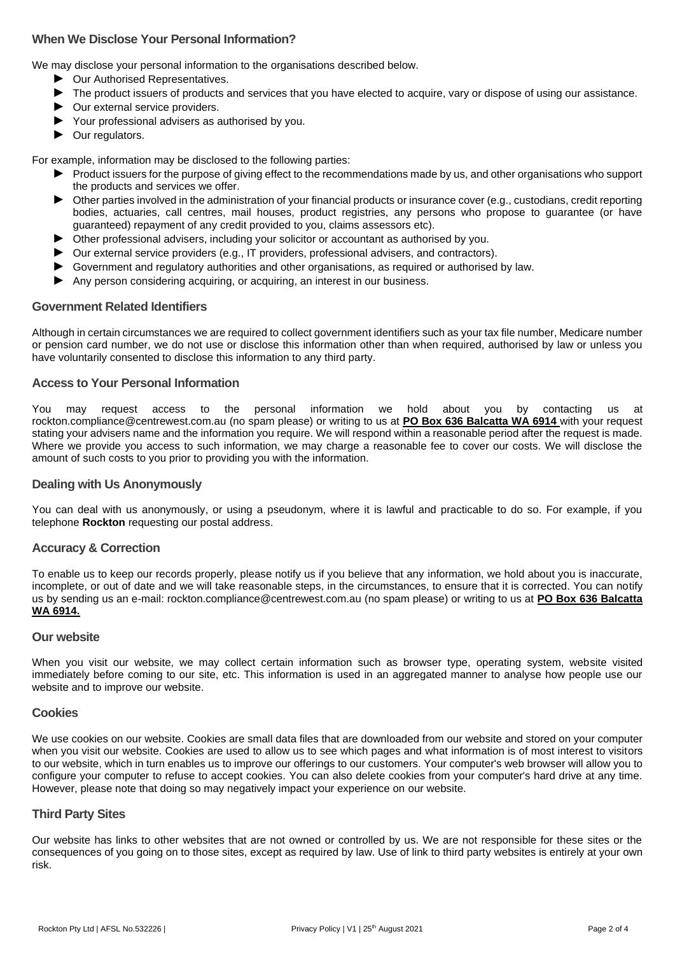# **When We Disclose Your Personal Information?**

We may disclose your personal information to the organisations described below.

- ► Our Authorised Representatives.
- ► The product issuers of products and services that you have elected to acquire, vary or dispose of using our assistance.
- ► Our external service providers.
- ► Your professional advisers as authorised by you.
- ► Our regulators.

For example, information may be disclosed to the following parties:

- ► Product issuers for the purpose of giving effect to the recommendations made by us, and other organisations who support the products and services we offer.
- ► Other parties involved in the administration of your financial products or insurance cover (e.g., custodians, credit reporting bodies, actuaries, call centres, mail houses, product registries, any persons who propose to guarantee (or have guaranteed) repayment of any credit provided to you, claims assessors etc).
- ► Other professional advisers, including your solicitor or accountant as authorised by you.
- ► Our external service providers (e.g., IT providers, professional advisers, and contractors).
- ► Government and regulatory authorities and other organisations, as required or authorised by law.
- ► Any person considering acquiring, or acquiring, an interest in our business.

#### **Government Related Identifiers**

Although in certain circumstances we are required to collect government identifiers such as your tax file number, Medicare number or pension card number, we do not use or disclose this information other than when required, authorised by law or unless you have voluntarily consented to disclose this information to any third party.

#### **Access to Your Personal Information**

You may request access to the personal information we hold about you by contacting us at rockton.compliance@centrewest.com.au (no spam please) or writing to us at **PO Box 636 Balcatta WA 6914** with your request stating your advisers name and the information you require. We will respond within a reasonable period after the request is made. Where we provide you access to such information, we may charge a reasonable fee to cover our costs. We will disclose the amount of such costs to you prior to providing you with the information.

#### **Dealing with Us Anonymously**

You can deal with us anonymously, or using a pseudonym, where it is lawful and practicable to do so. For example, if you telephone **Rockton** requesting our postal address.

# **Accuracy & Correction**

To enable us to keep our records properly, please notify us if you believe that any information, we hold about you is inaccurate, incomplete, or out of date and we will take reasonable steps, in the circumstances, to ensure that it is corrected. You can notify us by sending us an e-mail: rockton.compliance@centrewest.com.au (no spam please) or writing to us at **PO Box 636 Balcatta WA 6914.**

#### **Our website**

When you visit our website, we may collect certain information such as browser type, operating system, website visited immediately before coming to our site, etc. This information is used in an aggregated manner to analyse how people use our website and to improve our website.

#### **Cookies**

We use cookies on our website. Cookies are small data files that are downloaded from our website and stored on your computer when you visit our website. Cookies are used to allow us to see which pages and what information is of most interest to visitors to our website, which in turn enables us to improve our offerings to our customers. Your computer's web browser will allow you to configure your computer to refuse to accept cookies. You can also delete cookies from your computer's hard drive at any time. However, please note that doing so may negatively impact your experience on our website.

# **Third Party Sites**

Our website has links to other websites that are not owned or controlled by us. We are not responsible for these sites or the consequences of you going on to those sites, except as required by law. Use of link to third party websites is entirely at your own risk.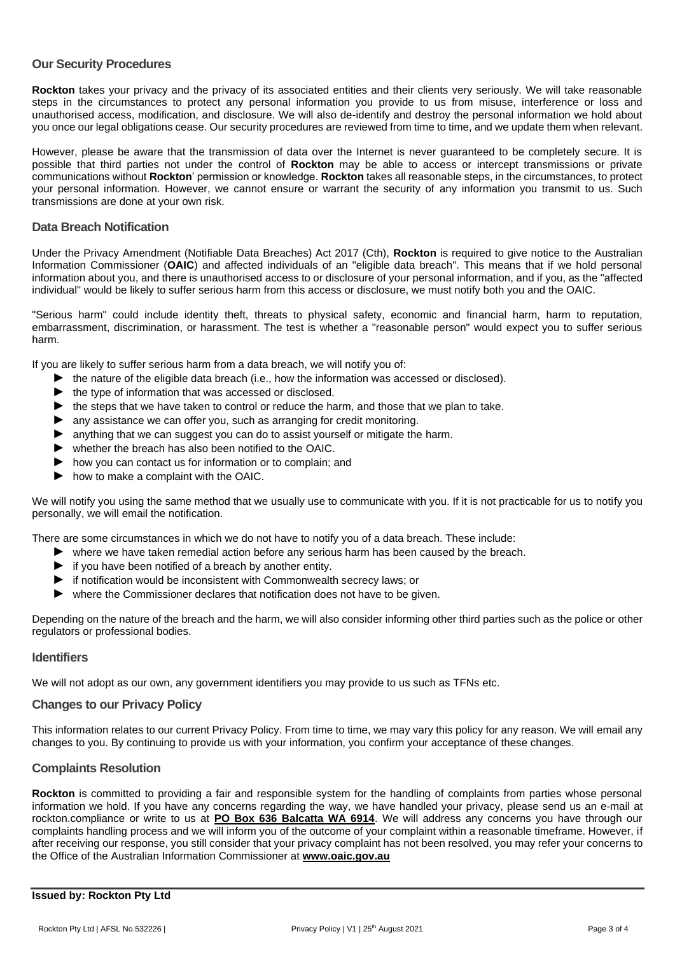#### **Our Security Procedures**

**Rockton** takes your privacy and the privacy of its associated entities and their clients very seriously. We will take reasonable steps in the circumstances to protect any personal information you provide to us from misuse, interference or loss and unauthorised access, modification, and disclosure. We will also de-identify and destroy the personal information we hold about you once our legal obligations cease. Our security procedures are reviewed from time to time, and we update them when relevant.

However, please be aware that the transmission of data over the Internet is never guaranteed to be completely secure. It is possible that third parties not under the control of **Rockton** may be able to access or intercept transmissions or private communications without **Rockton**' permission or knowledge. **Rockton** takes all reasonable steps, in the circumstances, to protect your personal information. However, we cannot ensure or warrant the security of any information you transmit to us. Such transmissions are done at your own risk.

## **Data Breach Notification**

Under the Privacy Amendment (Notifiable Data Breaches) Act 2017 (Cth), **Rockton** is required to give notice to the Australian Information Commissioner (**OAIC**) and affected individuals of an "eligible data breach". This means that if we hold personal information about you, and there is unauthorised access to or disclosure of your personal information, and if you, as the "affected individual" would be likely to suffer serious harm from this access or disclosure, we must notify both you and the OAIC.

"Serious harm" could include identity theft, threats to physical safety, economic and financial harm, harm to reputation, embarrassment, discrimination, or harassment. The test is whether a "reasonable person" would expect you to suffer serious harm.

If you are likely to suffer serious harm from a data breach, we will notify you of:

- ► the nature of the eligible data breach (i.e., how the information was accessed or disclosed).
- ► the type of information that was accessed or disclosed.
- ► the steps that we have taken to control or reduce the harm, and those that we plan to take.
- ► any assistance we can offer you, such as arranging for credit monitoring.
- ► anything that we can suggest you can do to assist yourself or mitigate the harm.
- ► whether the breach has also been notified to the OAIC.
- ► how you can contact us for information or to complain; and
- ► how to make a complaint with the OAIC.

We will notify you using the same method that we usually use to communicate with you. If it is not practicable for us to notify you personally, we will email the notification.

There are some circumstances in which we do not have to notify you of a data breach. These include:

- ► where we have taken remedial action before any serious harm has been caused by the breach.
- ► if you have been notified of a breach by another entity.
- ► if notification would be inconsistent with Commonwealth secrecy laws; or
- ► where the Commissioner declares that notification does not have to be given.

Depending on the nature of the breach and the harm, we will also consider informing other third parties such as the police or other regulators or professional bodies.

#### **Identifiers**

We will not adopt as our own, any government identifiers you may provide to us such as TFNs etc.

#### **Changes to our Privacy Policy**

This information relates to our current Privacy Policy. From time to time, we may vary this policy for any reason. We will email any changes to you. By continuing to provide us with your information, you confirm your acceptance of these changes.

# **Complaints Resolution**

**Rockton** is committed to providing a fair and responsible system for the handling of complaints from parties whose personal information we hold. If you have any concerns regarding the way, we have handled your privacy, please send us an e-mail at rockton.compliance or write to us at **PO Box 636 Balcatta WA 6914**. We will address any concerns you have through our complaints handling process and we will inform you of the outcome of your complaint within a reasonable timeframe. However, if after receiving our response, you still consider that your privacy complaint has not been resolved, you may refer your concerns to the Office of the Australian Information Commissioner at **[www.oaic.gov.au](https://www.oaic.gov.au/)**

#### **Issued by: Rockton Pty Ltd**